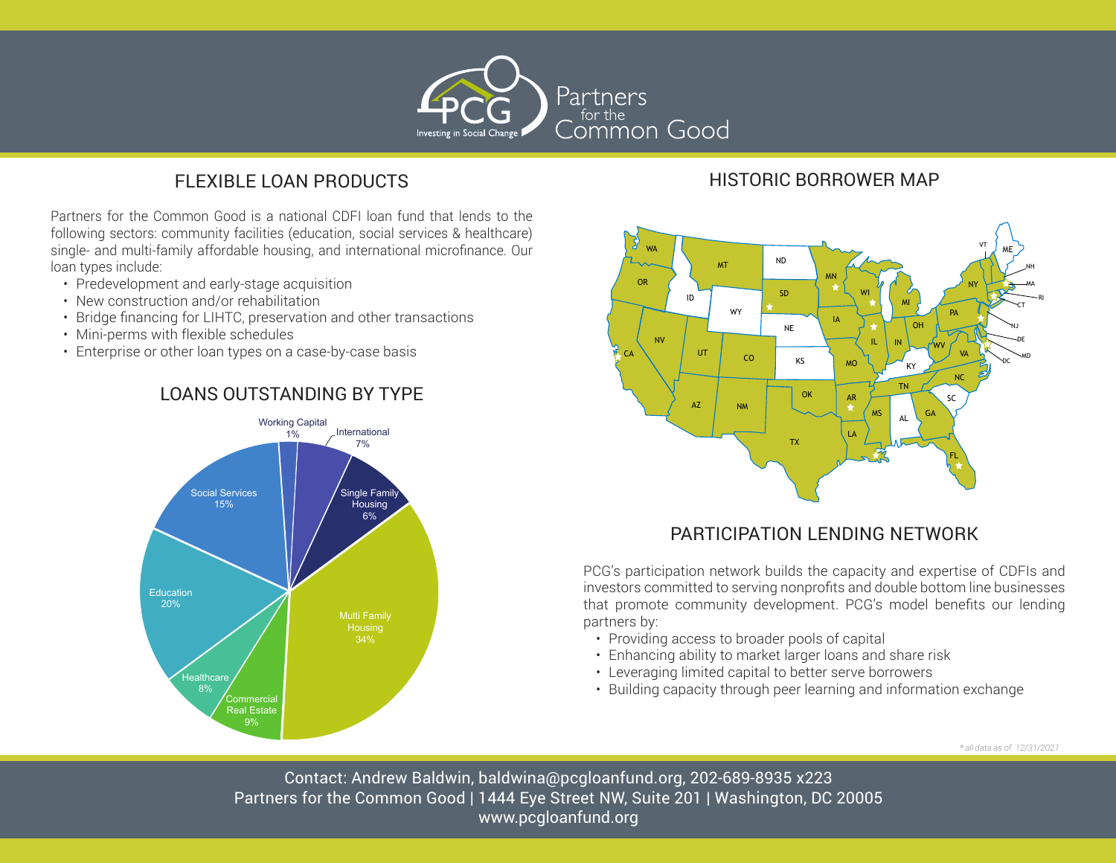

# FLEXIBLE LOAN PRODUCTS

Partners for the Common Good is a national CDFI loan fund that lends to the following sectors: community facilities (education, social services & healthcare) single- and multi-family affordable housing, and international microfinance. Our loan types include:

- Predevelopment and early-stage acquisition
- New construction and/or rehabilitation
- Bridge financing for LIHTC, preservation and other transactions
- Mini-perms with flexible schedules
- Enterprise or other loan types on a case-by-case basis

#### LOANS OUTSTANDING BY TYPE



# HISTORIC BORROWER MAP



#### PARTICIPATION LENDING NETWORK

PCG's participation network builds the capacity and expertise of CDFIs and investors committed to serving nonprofits and double bottom line businesses that promote community development. PCG's model benefits our lending partners by:

- Providing access to broader pools of capital
- Enhancing ability to market larger loans and share risk
- Leveraging limited capital to better serve borrowers
- Building capacity through peer learning and information exchange

*\* all data as of 12/31/2021*

Contact: Andrew Baldwin, baldwina@pcgloanfund.org, 202-689-8935 x223 Partners for the Common Good | 1444 Eye Street NW, Suite 201 | Washington, DC 20005 www.pcgloanfund.org